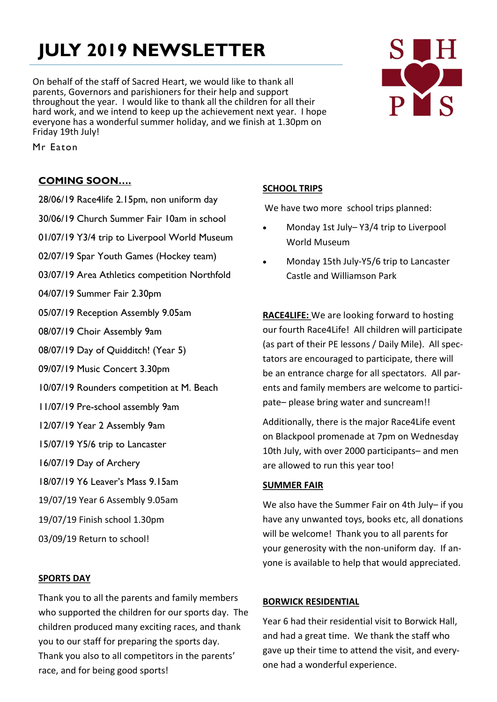# **JULY 2019 NEWSLETTER**

On behalf of the staff of Sacred Heart, we would like to thank all parents, Governors and parishioners for their help and support throughout the year. I would like to thank all the children for all their hard work, and we intend to keep up the achievement next year. I hope everyone has a wonderful summer holiday, and we finish at 1.30pm on Friday 19th July!

# PYS

Mr Eaton

# **COMING SOON….**

28/06/19 Race4life 2.15pm, non uniform day 30/06/19 Church Summer Fair 10am in school 01/07/19 Y3/4 trip to Liverpool World Museum 02/07/19 Spar Youth Games (Hockey team) 03/07/19 Area Athletics competition Northfold 04/07/19 Summer Fair 2.30pm 05/07/19 Reception Assembly 9.05am 08/07/19 Choir Assembly 9am 08/07/19 Day of Quidditch! (Year 5) 09/07/19 Music Concert 3.30pm 10/07/19 Rounders competition at M. Beach 11/07/19 Pre-school assembly 9am 12/07/19 Year 2 Assembly 9am 15/07/19 Y5/6 trip to Lancaster 16/07/19 Day of Archery 18/07/19 Y6 Leaver's Mass 9.15am 19/07/19 Year 6 Assembly 9.05am 19/07/19 Finish school 1.30pm 03/09/19 Return to school!

# **SPORTS DAY**

Thank you to all the parents and family members who supported the children for our sports day. The children produced many exciting races, and thank you to our staff for preparing the sports day. Thank you also to all competitors in the parents' race, and for being good sports!

# **SCHOOL TRIPS**

We have two more school trips planned:

- Monday 1st July– Y3/4 trip to Liverpool World Museum
- Monday 15th July-Y5/6 trip to Lancaster Castle and Williamson Park

**RACE4LIFE:** We are looking forward to hosting our fourth Race4Life! All children will participate (as part of their PE lessons / Daily Mile). All spectators are encouraged to participate, there will be an entrance charge for all spectators. All parents and family members are welcome to participate– please bring water and suncream!!

Additionally, there is the major Race4Life event on Blackpool promenade at 7pm on Wednesday 10th July, with over 2000 participants– and men are allowed to run this year too!

#### **SUMMER FAIR**

We also have the Summer Fair on 4th July– if you have any unwanted toys, books etc, all donations will be welcome! Thank you to all parents for your generosity with the non-uniform day. If anyone is available to help that would appreciated.

#### **BORWICK RESIDENTIAL**

Year 6 had their residential visit to Borwick Hall, and had a great time. We thank the staff who gave up their time to attend the visit, and everyone had a wonderful experience.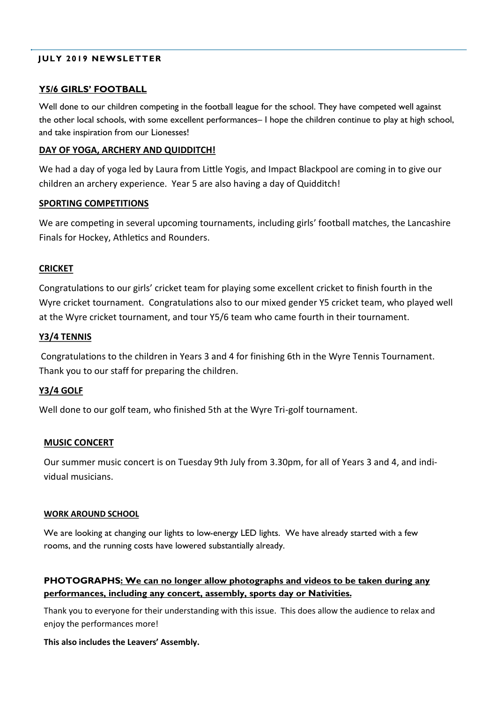#### **JULY 2019 NEWSLETTER**

#### **Y5/6 GIRLS' FOOTBALL**

Well done to our children competing in the football league for the school. They have competed well against the other local schools, with some excellent performances– I hope the children continue to play at high school, and take inspiration from our Lionesses!

#### **DAY OF YOGA, ARCHERY AND QUIDDITCH!**

We had a day of yoga led by Laura from Little Yogis, and Impact Blackpool are coming in to give our children an archery experience. Year 5 are also having a day of Quidditch!

#### **SPORTING COMPETITIONS**

We are competing in several upcoming tournaments, including girls' football matches, the Lancashire Finals for Hockey, Athletics and Rounders.

#### **CRICKET**

Congratulations to our girls' cricket team for playing some excellent cricket to finish fourth in the Wyre cricket tournament. Congratulations also to our mixed gender Y5 cricket team, who played well at the Wyre cricket tournament, and tour Y5/6 team who came fourth in their tournament.

#### **Y3/4 TENNIS**

Congratulations to the children in Years 3 and 4 for finishing 6th in the Wyre Tennis Tournament. Thank you to our staff for preparing the children.

#### **Y3/4 GOLF**

Well done to our golf team, who finished 5th at the Wyre Tri-golf tournament.

#### **MUSIC CONCERT**

Our summer music concert is on Tuesday 9th July from 3.30pm, for all of Years 3 and 4, and individual musicians.

#### **WORK AROUND SCHOOL**

We are looking at changing our lights to low-energy LED lights. We have already started with a few rooms, and the running costs have lowered substantially already.

#### **PHOTOGRAPHS: We can no longer allow photographs and videos to be taken during any performances, including any concert, assembly, sports day or Nativities.**

Thank you to everyone for their understanding with this issue. This does allow the audience to relax and enjoy the performances more!

#### **This also includes the Leavers' Assembly.**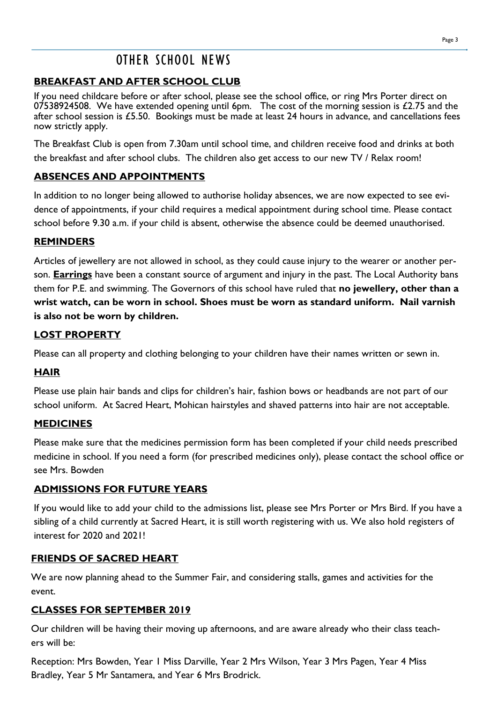# OTHER SCHOOL NEWS

# **BREAKFAST AND AFTER SCHOOL CLUB**

If you need childcare before or after school, please see the school office, or ring Mrs Porter direct on 07538924508. We have extended opening until 6pm. The cost of the morning session is  $£2.75$  and the after school session is £5.50. Bookings must be made at least 24 hours in advance, and cancellations fees now strictly apply.

The Breakfast Club is open from 7.30am until school time, and children receive food and drinks at both the breakfast and after school clubs. The children also get access to our new TV / Relax room!

# **ABSENCES AND APPOINTMENTS**

In addition to no longer being allowed to authorise holiday absences, we are now expected to see evidence of appointments, if your child requires a medical appointment during school time. Please contact school before 9.30 a.m. if your child is absent, otherwise the absence could be deemed unauthorised.

# **REMINDERS**

Articles of jewellery are not allowed in school, as they could cause injury to the wearer or another person. **Earrings** have been a constant source of argument and injury in the past. The Local Authority bans them for P.E. and swimming. The Governors of this school have ruled that **no jewellery, other than a wrist watch, can be worn in school. Shoes must be worn as standard uniform. Nail varnish is also not be worn by children.**

# **LOST PROPERTY**

Please can all property and clothing belonging to your children have their names written or sewn in.

# **HAIR**

Please use plain hair bands and clips for children's hair, fashion bows or headbands are not part of our school uniform. At Sacred Heart, Mohican hairstyles and shaved patterns into hair are not acceptable.

#### **MEDICINES**

Please make sure that the medicines permission form has been completed if your child needs prescribed medicine in school. If you need a form (for prescribed medicines only), please contact the school office or see Mrs. Bowden

# **ADMISSIONS FOR FUTURE YEARS**

If you would like to add your child to the admissions list, please see Mrs Porter or Mrs Bird. If you have a sibling of a child currently at Sacred Heart, it is still worth registering with us. We also hold registers of interest for 2020 and 2021!

# **FRIENDS OF SACRED HEART**

We are now planning ahead to the Summer Fair, and considering stalls, games and activities for the event.

# **CLASSES FOR SEPTEMBER 2019**

Our children will be having their moving up afternoons, and are aware already who their class teachers will be:

Reception: Mrs Bowden, Year 1 Miss Darville, Year 2 Mrs Wilson, Year 3 Mrs Pagen, Year 4 Miss Bradley, Year 5 Mr Santamera, and Year 6 Mrs Brodrick.